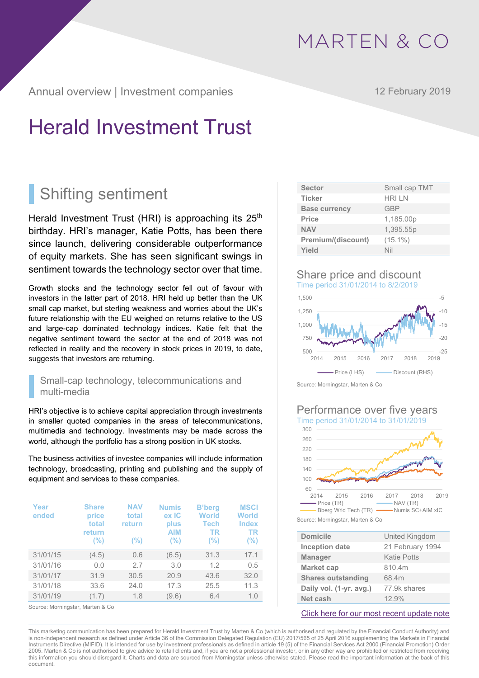Annual overview | Investment companies 12 February 2019

# Herald Investment Trust

# Shifting sentiment

Herald Investment Trust (HRI) is approaching its  $25<sup>th</sup>$ birthday. HRI's manager, Katie Potts, has been there since launch, delivering considerable outperformance of equity markets. She has seen significant swings in sentiment towards the technology sector over that time.

Growth stocks and the technology sector fell out of favour with investors in the latter part of 2018. HRI held up better than the UK small cap market, but sterling weakness and worries about the UK's future relationship with the EU weighed on returns relative to the US and large-cap dominated technology indices. Katie felt that the negative sentiment toward the sector at the end of 2018 was not reflected in reality and the recovery in stock prices in 2019, to date, suggests that investors are returning.

### Small-cap technology, telecommunications and multi-media

HRI's objective is to achieve capital appreciation through investments in smaller quoted companies in the areas of telecommunications, multimedia and technology. Investments may be made across the world, although the portfolio has a strong position in UK stocks.

The business activities of investee companies will include information technology, broadcasting, printing and publishing and the supply of equipment and services to these companies.

| Year<br>ended | <b>Share</b><br>price<br>total<br>return<br>$(\% )$ | <b>NAV</b><br>total<br>return<br>(%) | <b>Numis</b><br>ex IC<br>plus<br><b>AIM</b><br>$(\% )$ | <b>B'berg</b><br>World<br><b>Tech</b><br>TR<br>$(\% )$ | <b>MSCI</b><br><b>World</b><br><b>Index</b><br><b>TR</b><br>(%) |
|---------------|-----------------------------------------------------|--------------------------------------|--------------------------------------------------------|--------------------------------------------------------|-----------------------------------------------------------------|
| 31/01/15      | (4.5)                                               | 0.6                                  | (6.5)                                                  | 31.3                                                   | 17.1                                                            |
| 31/01/16      | 0.0                                                 | 2.7                                  | 3.0                                                    | 1.2                                                    | 0.5                                                             |
| 31/01/17      | 31.9                                                | 30.5                                 | 20.9                                                   | 43.6                                                   | 32.0                                                            |
| 31/01/18      | 33.6                                                | 24.0                                 | 17.3                                                   | 25.5                                                   | 11.3                                                            |
| 31/01/19      | (1.7)                                               | 1.8                                  | (9.6)                                                  | 6.4                                                    | 1.0                                                             |

Source: Morningstar, Marten & Co

| <b>Sector</b>        | Small cap TMT |
|----------------------|---------------|
| <b>Ticker</b>        | <b>HRIIN</b>  |
| <b>Base currency</b> | <b>GBP</b>    |
| Price                | 1,185.00p     |
| <b>NAV</b>           | 1,395.55p     |
| Premium/(discount)   | $(15.1\%)$    |
| Yield                | Nil           |
|                      |               |

### Share price and discount Time period 31/01/2014 to 8/2/2019



Source: Morningstar, Marten & Co

#### Performance over five years Time period 31/01/2014 to 31/01/2019



Source: Morningstar, Marten & Co

| <b>Domicile</b>           | United Kingdom   |
|---------------------------|------------------|
| <b>Inception date</b>     | 21 February 1994 |
| <b>Manager</b>            | Katie Potts      |
| <b>Market cap</b>         | 810.4m           |
| <b>Shares outstanding</b> | 68.4m            |
| Daily vol. (1-yr. avg.)   | 77.9k shares     |
| Net cash                  | 12.9%            |

[Click here for our most recent update note](http://martenandco.com/wp-content/uploads/2018/06/180612-HRI-Update-MC.pdf)

This marketing communication has been prepared for Herald Investment Trust by Marten & Co (which is authorised and regulated by the Financial Conduct Authority) and is non-independent research as defined under Article 36 of the Commission Delegated Regulation (EU) 2017/565 of 25 April 2016 supplementing the Markets in Financial Instruments Directive (MIFID). It is intended for use by investment professionals as defined in article 19 (5) of the Financial Services Act 2000 (Financial Promotion) Order 2005. Marten & Co is not authorised to give advice to retail clients and, if you are not a professional investor, or in any other way are prohibited or restricted from receiving this information you should disregard it. Charts and data are sourced from Morningstar unless otherwise stated. Please read the important information at the back of this document.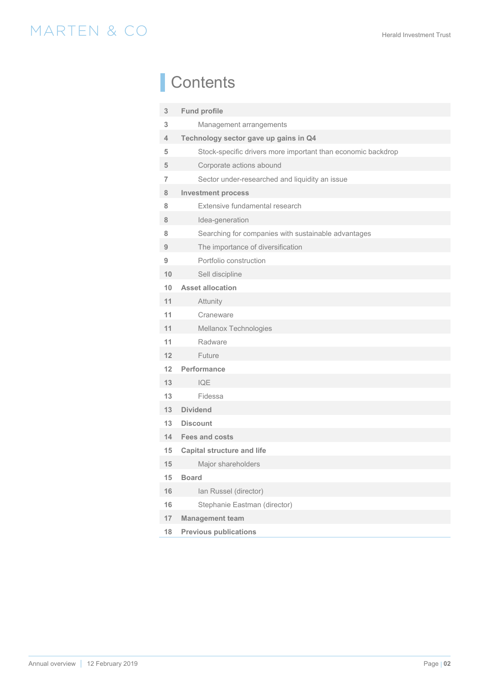# **Contents**

| $\mathbf{3}$ | <b>Fund profile</b>                                          |
|--------------|--------------------------------------------------------------|
| 3            | Management arrangements                                      |
| 4            | Technology sector gave up gains in Q4                        |
| 5            | Stock-specific drivers more important than economic backdrop |
| 5            | Corporate actions abound                                     |
| 7            | Sector under-researched and liquidity an issue               |
| 8            | <b>Investment process</b>                                    |
| 8            | Extensive fundamental research                               |
| 8            | Idea-generation                                              |
| 8            | Searching for companies with sustainable advantages          |
| 9            | The importance of diversification                            |
| 9            | Portfolio construction                                       |
| 10           | Sell discipline                                              |
| 10           | <b>Asset allocation</b>                                      |
| 11           | Attunity                                                     |
| 11           | Craneware                                                    |
| 11           | Mellanox Technologies                                        |
| 11           | Radware                                                      |
| 12           | Future                                                       |
| 12           | Performance                                                  |
| 13           | <b>IQE</b>                                                   |
| 13           | Fidessa                                                      |
| 13           | <b>Dividend</b>                                              |
| 13           | <b>Discount</b>                                              |
| 14           | <b>Fees and costs</b>                                        |
| 15           | <b>Capital structure and life</b>                            |
| 15           | Maior shareholders                                           |
| 15           | <b>Board</b>                                                 |
| 16           | Ian Russel (director)                                        |
| 16           | Stephanie Eastman (director)                                 |
| 17           | <b>Management team</b>                                       |
| 18           | <b>Previous publications</b>                                 |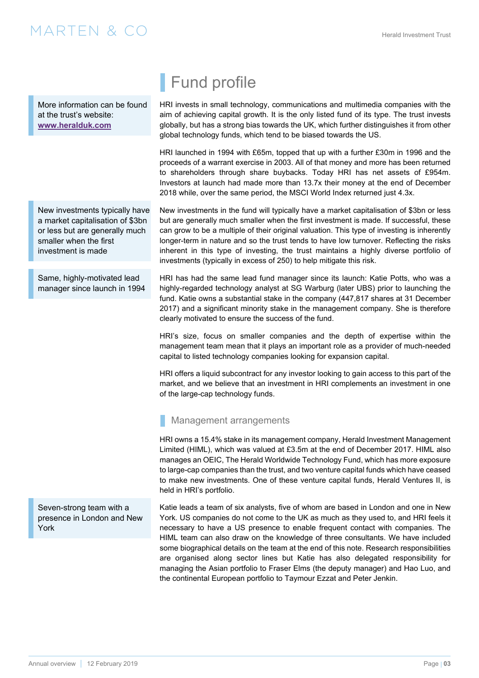<span id="page-2-0"></span>More information can be found at the trust's website: **www.heralduk.com**

New investments typically have a market capitalisation of \$3bn or less but are generally much smaller when the first investment is made

Same, highly-motivated lead manager since launch in 1994 Fund profile

HRI invests in small technology, communications and multimedia companies with the aim of achieving capital growth. It is the only listed fund of its type. The trust invests globally, but has a strong bias towards the UK, which further distinguishes it from other global technology funds, which tend to be biased towards the US.

HRI launched in 1994 with £65m, topped that up with a further £30m in 1996 and the proceeds of a warrant exercise in 2003. All of that money and more has been returned to shareholders through share buybacks. Today HRI has net assets of £954m. Investors at launch had made more than 13.7x their money at the end of December 2018 while, over the same period, the MSCI World Index returned just 4.3x.

New investments in the fund will typically have a market capitalisation of \$3bn or less but are generally much smaller when the first investment is made. If successful, these can grow to be a multiple of their original valuation. This type of investing is inherently longer-term in nature and so the trust tends to have low turnover. Reflecting the risks inherent in this type of investing, the trust maintains a highly diverse portfolio of investments (typically in excess of 250) to help mitigate this risk.

HRI has had the same lead fund manager since its launch: Katie Potts, who was a highly-regarded technology analyst at SG Warburg (later UBS) prior to launching the fund. Katie owns a substantial stake in the company (447,817 shares at 31 December 2017) and a significant minority stake in the management company. She is therefore clearly motivated to ensure the success of the fund.

HRI's size, focus on smaller companies and the depth of expertise within the management team mean that it plays an important role as a provider of much-needed capital to listed technology companies looking for expansion capital.

HRI offers a liquid subcontract for any investor looking to gain access to this part of the market, and we believe that an investment in HRI complements an investment in one of the large-cap technology funds.

### Management arrangements

HRI owns a 15.4% stake in its management company, Herald Investment Management Limited (HIML), which was valued at £3.5m at the end of December 2017. HIML also manages an OEIC, The Herald Worldwide Technology Fund, which has more exposure to large-cap companies than the trust, and two venture capital funds which have ceased to make new investments. One of these venture capital funds, Herald Ventures II, is held in HRI's portfolio.

Seven-strong team with a presence in London and New York

Katie leads a team of six analysts, five of whom are based in London and one in New York. US companies do not come to the UK as much as they used to, and HRI feels it necessary to have a US presence to enable frequent contact with companies. The HIML team can also draw on the knowledge of three consultants. We have included some biographical details on the team at the end of this note. Research responsibilities are organised along sector lines but Katie has also delegated responsibility for managing the Asian portfolio to Fraser Elms (the deputy manager) and Hao Luo, and the continental European portfolio to Taymour Ezzat and Peter Jenkin.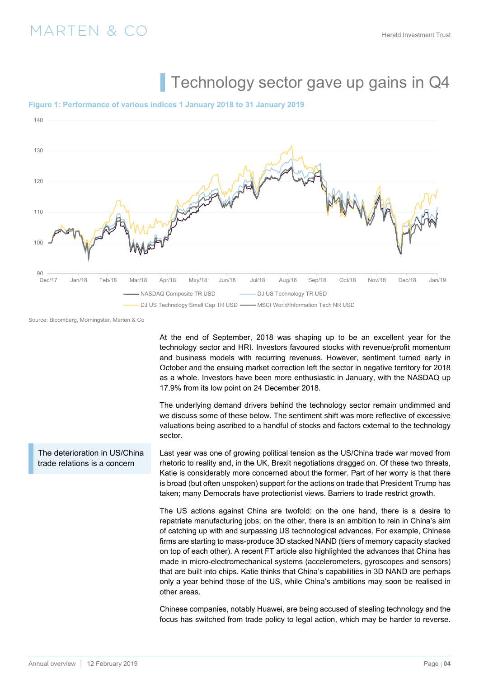# Technology sector gave up gains in Q4

#### <span id="page-3-0"></span>**Figure 1: Performance of various indices 1 January 2018 to 31 January 2019**



Source: Bloomberg, Morningstar, Marten & Co

The deterioration in US/China trade relations is a concern

At the end of September, 2018 was shaping up to be an excellent year for the technology sector and HRI. Investors favoured stocks with revenue/profit momentum and business models with recurring revenues. However, sentiment turned early in October and the ensuing market correction left the sector in negative territory for 2018 as a whole. Investors have been more enthusiastic in January, with the NASDAQ up 17.9% from its low point on 24 December 2018.

The underlying demand drivers behind the technology sector remain undimmed and we discuss some of these below. The sentiment shift was more reflective of excessive valuations being ascribed to a handful of stocks and factors external to the technology sector.

Last year was one of growing political tension as the US/China trade war moved from rhetoric to reality and, in the UK, Brexit negotiations dragged on. Of these two threats, Katie is considerably more concerned about the former. Part of her worry is that there is broad (but often unspoken) support for the actions on trade that President Trump has taken; many Democrats have protectionist views. Barriers to trade restrict growth.

The US actions against China are twofold: on the one hand, there is a desire to repatriate manufacturing jobs; on the other, there is an ambition to rein in China's aim of catching up with and surpassing US technological advances. For example, Chinese firms are starting to mass-produce 3D stacked NAND (tiers of memory capacity stacked on top of each other). A recent FT article also highlighted the advances that China has made in micro-electromechanical systems (accelerometers, gyroscopes and sensors) that are built into chips. Katie thinks that China's capabilities in 3D NAND are perhaps only a year behind those of the US, while China's ambitions may soon be realised in other areas.

Chinese companies, notably Huawei, are being accused of stealing technology and the focus has switched from trade policy to legal action, which may be harder to reverse.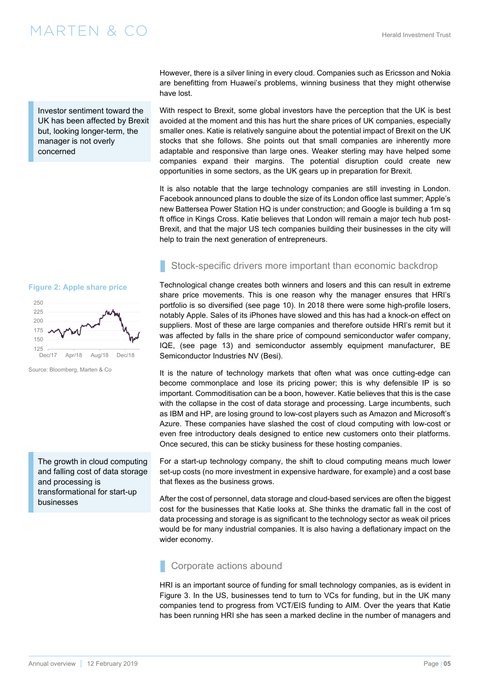<span id="page-4-0"></span>Investor sentiment toward the UK has been affected by Brexit but, looking longer-term, the manager is not overly concerned

**Figure 2: Apple share price** 



Source: Bloomberg, Marten & Co

The growth in cloud computing and falling cost of data storage and processing is transformational for start-up businesses

### However, there is a silver lining in every cloud. Companies such as Ericsson and Nokia are benefitting from Huawei's problems, winning business that they might otherwise have lost.

With respect to Brexit, some global investors have the perception that the UK is best avoided at the moment and this has hurt the share prices of UK companies, especially smaller ones. Katie is relatively sanguine about the potential impact of Brexit on the UK stocks that she follows. She points out that small companies are inherently more adaptable and responsive than large ones. Weaker sterling may have helped some companies expand their margins. The potential disruption could create new opportunities in some sectors, as the UK gears up in preparation for Brexit.

It is also notable that the large technology companies are still investing in London. Facebook announced plans to double the size of its London office last summer; Apple's new Battersea Power Station HQ is under construction; and Google is building a 1m sq ft office in Kings Cross. Katie believes that London will remain a major tech hub post-Brexit, and that the major US tech companies building their businesses in the city will help to train the next generation of entrepreneurs.

### Stock-specific drivers more important than economic backdrop

Technological change creates both winners and losers and this can result in extreme share price movements. This is one reason why the manager ensures that HRI's portfolio is so diversified [\(see page 10\)](#page-9-0). In 2018 there were some high-profile losers, notably Apple. Sales of its iPhones have slowed and this has had a knock-on effect on suppliers. Most of these are large companies and therefore outside HRI's remit but it was affected by falls in the share price of compound semiconductor wafer company, IQE, ([see page 13](#page-12-0)) and semiconductor assembly equipment manufacturer, BE Semiconductor Industries NV (Besi).

It is the nature of technology markets that often what was once cutting-edge can become commonplace and lose its pricing power; this is why defensible IP is so important. Commoditisation can be a boon, however. Katie believes that this is the case with the collapse in the cost of data storage and processing. Large incumbents, such as IBM and HP, are losing ground to low-cost players such as Amazon and Microsoft's Azure. These companies have slashed the cost of cloud computing with low-cost or even free introductory deals designed to entice new customers onto their platforms. Once secured, this can be sticky business for these hosting companies.

For a start-up technology company, the shift to cloud computing means much lower set-up costs (no more investment in expensive hardware, for example) and a cost base that flexes as the business grows.

After the cost of personnel, data storage and cloud-based services are often the biggest cost for the businesses that Katie looks at. She thinks the dramatic fall in the cost of data processing and storage is as significant to the technology sector as weak oil prices would be for many industrial companies. It is also having a deflationary impact on the wider economy.

### Corporate actions abound

HRI is an important source of funding for small technology companies, as is evident in [Figure 3](#page-5-0). In the US, businesses tend to turn to VCs for funding, but in the UK many companies tend to progress from VCT/EIS funding to AIM. Over the years that Katie has been running HRI she has seen a marked decline in the number of managers and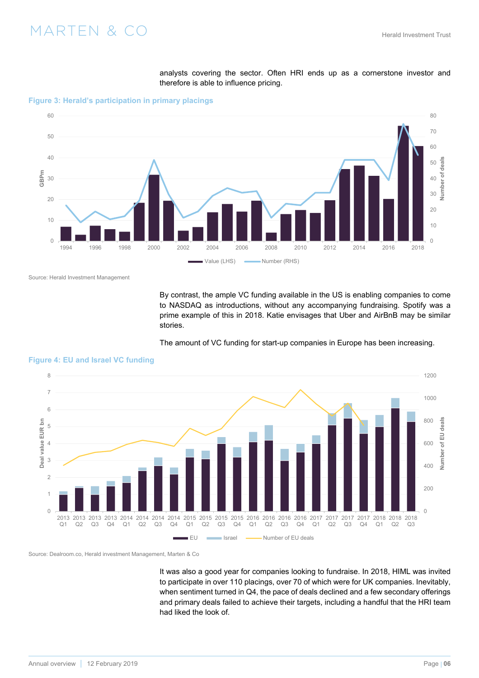analysts covering the sector. Often HRI ends up as a cornerstone investor and therefore is able to influence pricing.

<span id="page-5-0"></span>**Figure 3: Herald's participation in primary placings** 



Source: Herald Investment Management

By contrast, the ample VC funding available in the US is enabling companies to come to NASDAQ as introductions, without any accompanying fundraising. Spotify was a prime example of this in 2018. Katie envisages that Uber and AirBnB may be similar stories.





**Figure 4: EU and Israel VC funding** 

Source: Dealroom.co, Herald investment Management, Marten & Co

It was also a good year for companies looking to fundraise. In 2018, HIML was invited to participate in over 110 placings, over 70 of which were for UK companies. Inevitably, when sentiment turned in Q4, the pace of deals declined and a few secondary offerings and primary deals failed to achieve their targets, including a handful that the HRI team had liked the look of.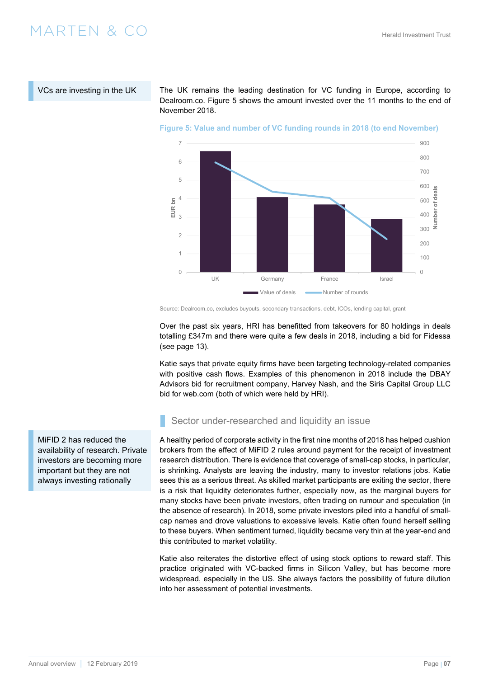<span id="page-6-0"></span>VCs are investing in the UK

The UK remains the leading destination for VC funding in Europe, according to Dealroom.co. Figure 5 shows the amount invested over the 11 months to the end of November 2018.



**Figure 5: Value and number of VC funding rounds in 2018 (to end November)** 

Over the past six years, HRI has benefitted from takeovers for 80 holdings in deals totalling £347m and there were quite a few deals in 2018, including a bid for Fidessa ([see page 13\)](#page-12-0).

Katie says that private equity firms have been targeting technology-related companies with positive cash flows. Examples of this phenomenon in 2018 include the DBAY Advisors bid for recruitment company, Harvey Nash, and the Siris Capital Group LLC bid for web.com (both of which were held by HRI).

Sector under-researched and liquidity an issue

A healthy period of corporate activity in the first nine months of 2018 has helped cushion brokers from the effect of MiFID 2 rules around payment for the receipt of investment research distribution. There is evidence that coverage of small-cap stocks, in particular, is shrinking. Analysts are leaving the industry, many to investor relations jobs. Katie sees this as a serious threat. As skilled market participants are exiting the sector, there is a risk that liquidity deteriorates further, especially now, as the marginal buyers for many stocks have been private investors, often trading on rumour and speculation (in the absence of research). In 2018, some private investors piled into a handful of smallcap names and drove valuations to excessive levels. Katie often found herself selling to these buyers. When sentiment turned, liquidity became very thin at the year-end and this contributed to market volatility.

Katie also reiterates the distortive effect of using stock options to reward staff. This practice originated with VC-backed firms in Silicon Valley, but has become more widespread, especially in the US. She always factors the possibility of future dilution into her assessment of potential investments.

MiFID 2 has reduced the availability of research. Private investors are becoming more important but they are not always investing rationally

Source: Dealroom.co, excludes buyouts, secondary transactions, debt, ICOs, lending capital, grant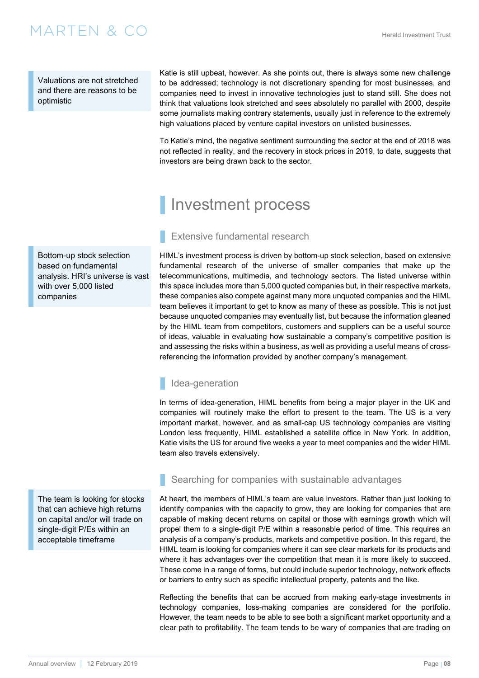<span id="page-7-0"></span>Valuations are not stretched and there are reasons to be optimistic

Katie is still upbeat, however. As she points out, there is always some new challenge to be addressed; technology is not discretionary spending for most businesses, and companies need to invest in innovative technologies just to stand still. She does not think that valuations look stretched and sees absolutely no parallel with 2000, despite some journalists making contrary statements, usually just in reference to the extremely high valuations placed by venture capital investors on unlisted businesses.

To Katie's mind, the negative sentiment surrounding the sector at the end of 2018 was not reflected in reality, and the recovery in stock prices in 2019, to date, suggests that investors are being drawn back to the sector.

# Investment process

### Extensive fundamental research

HIML's investment process is driven by bottom-up stock selection, based on extensive fundamental research of the universe of smaller companies that make up the telecommunications, multimedia, and technology sectors. The listed universe within this space includes more than 5,000 quoted companies but, in their respective markets, these companies also compete against many more unquoted companies and the HIML team believes it important to get to know as many of these as possible. This is not just because unquoted companies may eventually list, but because the information gleaned by the HIML team from competitors, customers and suppliers can be a useful source of ideas, valuable in evaluating how sustainable a company's competitive position is and assessing the risks within a business, as well as providing a useful means of crossreferencing the information provided by another company's management.

### Idea-generation

In terms of idea-generation, HIML benefits from being a major player in the UK and companies will routinely make the effort to present to the team. The US is a very important market, however, and as small-cap US technology companies are visiting London less frequently, HIML established a satellite office in New York. In addition, Katie visits the US for around five weeks a year to meet companies and the wider HIML team also travels extensively.

Searching for companies with sustainable advantages

At heart, the members of HIML's team are value investors. Rather than just looking to identify companies with the capacity to grow, they are looking for companies that are capable of making decent returns on capital or those with earnings growth which will propel them to a single-digit P/E within a reasonable period of time. This requires an analysis of a company's products, markets and competitive position. In this regard, the HIML team is looking for companies where it can see clear markets for its products and where it has advantages over the competition that mean it is more likely to succeed. These come in a range of forms, but could include superior technology, network effects or barriers to entry such as specific intellectual property, patents and the like.

Reflecting the benefits that can be accrued from making early-stage investments in technology companies, loss-making companies are considered for the portfolio. However, the team needs to be able to see both a significant market opportunity and a clear path to profitability. The team tends to be wary of companies that are trading on

Bottom-up stock selection based on fundamental analysis. HRI's universe is vast with over 5,000 listed companies

The team is looking for stocks that can achieve high returns on capital and/or will trade on single-digit P/Es within an acceptable timeframe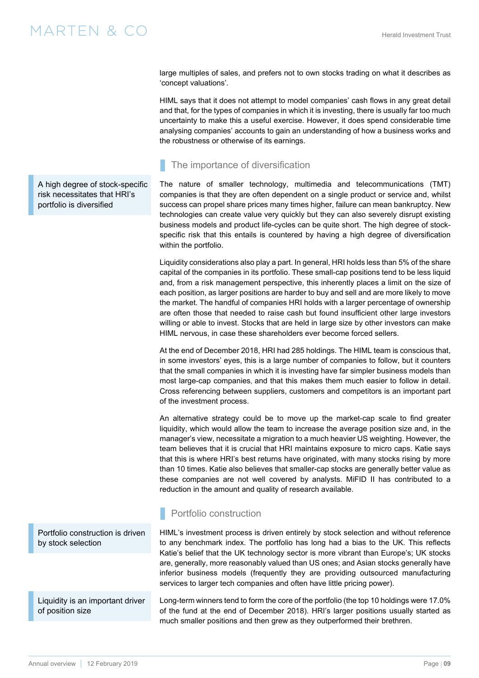<span id="page-8-0"></span>large multiples of sales, and prefers not to own stocks trading on what it describes as 'concept valuations'.

HIML says that it does not attempt to model companies' cash flows in any great detail and that, for the types of companies in which it is investing, there is usually far too much uncertainty to make this a useful exercise. However, it does spend considerable time analysing companies' accounts to gain an understanding of how a business works and the robustness or otherwise of its earnings.

### The importance of diversification

The nature of smaller technology, multimedia and telecommunications (TMT) companies is that they are often dependent on a single product or service and, whilst success can propel share prices many times higher, failure can mean bankruptcy. New technologies can create value very quickly but they can also severely disrupt existing business models and product life-cycles can be quite short. The high degree of stockspecific risk that this entails is countered by having a high degree of diversification within the portfolio.

Liquidity considerations also play a part. In general, HRI holds less than 5% of the share capital of the companies in its portfolio. These small-cap positions tend to be less liquid and, from a risk management perspective, this inherently places a limit on the size of each position, as larger positions are harder to buy and sell and are more likely to move the market. The handful of companies HRI holds with a larger percentage of ownership are often those that needed to raise cash but found insufficient other large investors willing or able to invest. Stocks that are held in large size by other investors can make HIML nervous, in case these shareholders ever become forced sellers.

At the end of December 2018, HRI had 285 holdings. The HIML team is conscious that, in some investors' eyes, this is a large number of companies to follow, but it counters that the small companies in which it is investing have far simpler business models than most large-cap companies, and that this makes them much easier to follow in detail. Cross referencing between suppliers, customers and competitors is an important part of the investment process.

An alternative strategy could be to move up the market-cap scale to find greater liquidity, which would allow the team to increase the average position size and, in the manager's view, necessitate a migration to a much heavier US weighting. However, the team believes that it is crucial that HRI maintains exposure to micro caps. Katie says that this is where HRI's best returns have originated, with many stocks rising by more than 10 times. Katie also believes that smaller-cap stocks are generally better value as these companies are not well covered by analysts. MiFID II has contributed to a reduction in the amount and quality of research available.

### Portfolio construction

HIML's investment process is driven entirely by stock selection and without reference to any benchmark index. The portfolio has long had a bias to the UK. This reflects Katie's belief that the UK technology sector is more vibrant than Europe's; UK stocks are, generally, more reasonably valued than US ones; and Asian stocks generally have inferior business models (frequently they are providing outsourced manufacturing services to larger tech companies and often have little pricing power).

Long-term winners tend to form the core of the portfolio (the top 10 holdings were 17.0% of the fund at the end of December 2018). HRI's larger positions usually started as much smaller positions and then grew as they outperformed their brethren.

A high degree of stock-specific risk necessitates that HRI's portfolio is diversified

Portfolio construction is driven by stock selection

Liquidity is an important driver of position size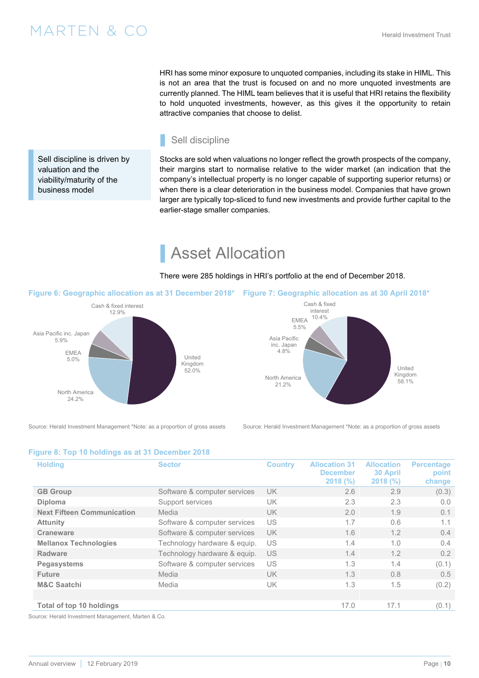<span id="page-9-0"></span>attractive companies that choose to delist. Sell discipline

Stocks are sold when valuations no longer reflect the growth prospects of the company, their margins start to normalise relative to the wider market (an indication that the company's intellectual property is no longer capable of supporting superior returns) or when there is a clear deterioration in the business model. Companies that have grown larger are typically top-sliced to fund new investments and provide further capital to the earlier-stage smaller companies.

HRI has some minor exposure to unquoted companies, including its stake in HIML. This is not an area that the trust is focused on and no more unquoted investments are currently planned. The HIML team believes that it is useful that HRI retains the flexibility to hold unquoted investments, however, as this gives it the opportunity to retain

# Asset Allocation

There were 285 holdings in HRI's portfolio at the end of December 2018.

North America 21.2%

Asia Pacific inc. Japan 4.8%

EMEA 5.5%

Cash & fixed interest 10.4%

**Figure 6: Geographic allocation as at 31 December 2018\* Figure 7: Geographic allocation as at 30 April 2018\*** 



Source: Herald Investment Management \*Note: as a proportion of gross assets Source: Herald Investment Management \*Note: as a proportion of gross assets



United Kingdom<br>58.1%

#### **Figure 8: Top 10 holdings as at 31 December 2018**

| <b>Holding</b>                    | <b>Sector</b>                | <b>Country</b> | <b>Allocation 31</b><br><b>December</b><br>2018 (%) | <b>Allocation</b><br>30 April<br>2018(%) | <b>Percentage</b><br>point<br>change |
|-----------------------------------|------------------------------|----------------|-----------------------------------------------------|------------------------------------------|--------------------------------------|
| <b>GB Group</b>                   | Software & computer services | UK.            | 2.6                                                 | 2.9                                      | (0.3)                                |
| <b>Diploma</b>                    | Support services             | UK             | 2.3                                                 | 2.3                                      | 0.0                                  |
| <b>Next Fifteen Communication</b> | Media                        | UK.            | 2.0                                                 | 1.9                                      | 0.1                                  |
| <b>Attunity</b>                   | Software & computer services | US             | 1.7                                                 | 0.6                                      | 1.1                                  |
| Craneware                         | Software & computer services | UK.            | 1.6                                                 | 1.2                                      | 0.4                                  |
| <b>Mellanox Technologies</b>      | Technology hardware & equip. | US             | 1.4                                                 | 1.0                                      | 0.4                                  |
| Radware                           | Technology hardware & equip. | US             | 1.4                                                 | 1.2                                      | 0.2                                  |
| <b>Pegasystems</b>                | Software & computer services | US             | 1.3                                                 | 1.4                                      | (0.1)                                |
| <b>Future</b>                     | Media                        | <b>UK</b>      | 1.3                                                 | 0.8                                      | 0.5                                  |
| <b>M&amp;C Saatchi</b>            | Media                        | UK             | 1.3                                                 | 1.5                                      | (0.2)                                |
|                                   |                              |                |                                                     |                                          |                                      |
| Total of top 10 holdings          |                              |                | 17.0                                                | 17.1                                     | (0.1)                                |

Source: Herald Investment Management, Marten & Co.

Sell discipline is driven by

valuation and the viability/maturity of the business model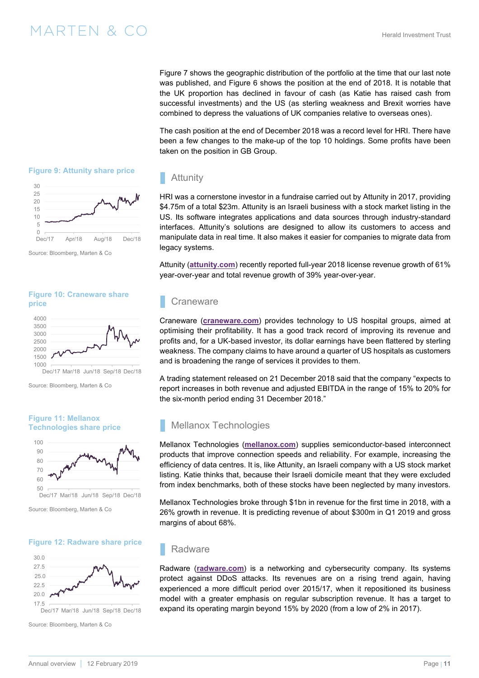[Figure 7](#page-9-0) shows the geographic distribution of the portfolio at the time that our last note was published, and [Figure 6](#page-9-0) shows the position at the end of 2018. It is notable that the UK proportion has declined in favour of cash (as Katie has raised cash from successful investments) and the US (as sterling weakness and Brexit worries have combined to depress the valuations of UK companies relative to overseas ones).

The cash position at the end of December 2018 was a record level for HRI. There have been a few changes to the make-up of the top 10 holdings. Some profits have been taken on the position in GB Group.

### Attunity

HRI was a cornerstone investor in a fundraise carried out by Attunity in 2017, providing \$4.75m of a total \$23m. Attunity is an Israeli business with a stock market listing in the US. Its software integrates applications and data sources through industry-standard interfaces. Attunity's solutions are designed to allow its customers to access and manipulate data in real time. It also makes it easier for companies to migrate data from legacy systems.

Attunity (**[attunity.com](https://www.attunity.com)**) recently reported full-year 2018 license revenue growth of 61% year-over-year and total revenue growth of 39% year-over-year.

### **Craneware**

Craneware (**[craneware.com](https://public.craneware.com)**) provides technology to US hospital groups, aimed at optimising their profitability. It has a good track record of improving its revenue and profits and, for a UK-based investor, its dollar earnings have been flattered by sterling weakness. The company claims to have around a quarter of US hospitals as customers and is broadening the range of services it provides to them.

A trading statement released on 21 December 2018 said that the company "expects to report increases in both revenue and adjusted EBITDA in the range of 15% to 20% for the six-month period ending 31 December 2018."

### Mellanox Technologies

Mellanox Technologies (**[mellanox.com](http://www.mellanox.com/)**) supplies semiconductor-based interconnect products that improve connection speeds and reliability. For example, increasing the efficiency of data centres. It is, like Attunity, an Israeli company with a US stock market listing. Katie thinks that, because their Israeli domicile meant that they were excluded from index benchmarks, both of these stocks have been neglected by many investors.

Mellanox Technologies broke through \$1bn in revenue for the first time in 2018, with a 26% growth in revenue. It is predicting revenue of about \$300m in Q1 2019 and gross margins of about 68%.

### Radware

Radware (**[radware.com](https://www.radware.com/)**) is a networking and cybersecurity company. Its systems protect against DDoS attacks. Its revenues are on a rising trend again, having experienced a more difficult period over 2015/17, when it repositioned its business model with a greater emphasis on regular subscription revenue. It has a target to expand its operating margin beyond 15% by 2020 (from a low of 2% in 2017).

<span id="page-10-0"></span>



Source: Bloomberg, Marten & Co





Source: Bloomberg, Marten & Co

#### **Figure 11: Mellanox Technologies share price**



Source: Bloomberg, Marten & Co

### **Figure 12: Radware share price**



Source: Bloomberg, Marten & Co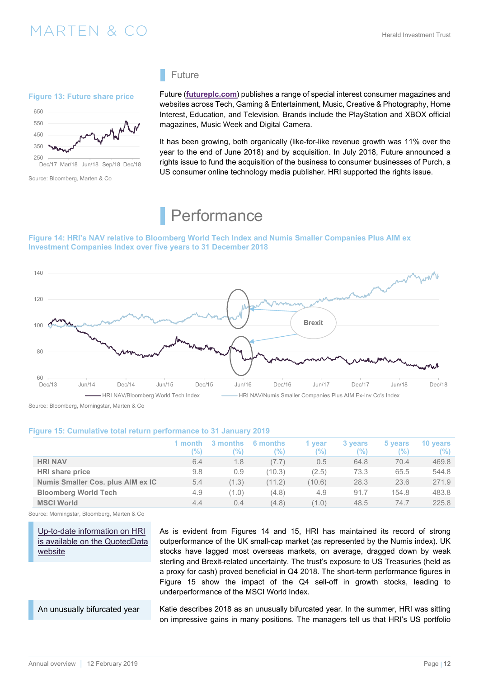### <span id="page-11-0"></span> $\text{MARTEN} \& \text{CO}$  and the contract of the contract  $\text{MARTEN} \& \text{CO}$

### **Figure 13: Future share price**



Source: Bloomberg, Marten & Co

### Future

Future (**[futureplc.com](https://www.futureplc.com/)**) publishes a range of special interest consumer magazines and websites across Tech, Gaming & Entertainment, Music, Creative & Photography, Home Interest, Education, and Television. Brands include the PlayStation and XBOX official magazines, Music Week and Digital Camera.

It has been growing, both organically (like-for-like revenue growth was 11% over the year to the end of June 2018) and by acquisition. In July 2018, Future announced a rights issue to fund the acquisition of the business to consumer businesses of Purch, a US consumer online technology media publisher. HRI supported the rights issue.

# **Performance**

#### **Figure 14: HRI's NAV relative to Bloomberg World Tech Index and Numis Smaller Companies Plus AIM ex Investment Companies Index over five years to 31 December 2018**



Source: Bloomberg, Morningstar, Marten & Co

#### **Figure 15: Cumulative total return performance to 31 January 2019**

|                                   | '%) | months<br>'%) | 6 months<br>$\frac{10}{2}$ | 1 vear<br>'%) | 3 years<br>(%) | 5 years<br>'%) | 10 years<br>$\frac{10}{2}$ |
|-----------------------------------|-----|---------------|----------------------------|---------------|----------------|----------------|----------------------------|
| <b>HRI NAV</b>                    | 6.4 | 1.8           | (7.7)                      | 0.5           | 64.8           | 70.4           | 469.8                      |
| HRI share price                   | 9.8 | 0.9           | (10.3)                     | (2.5)         | 73.3           | 65.5           | 544.8                      |
| Numis Smaller Cos. plus AIM ex IC | 5.4 | (1.3)         | (11.2)                     | (10.6)        | 28.3           | 23.6           | 271.9                      |
| <b>Bloomberg World Tech</b>       | 4.9 | (1.0)         | (4.8)                      | 4.9           | 91.7           | 154.8          | 483.8                      |
| <b>MSCI World</b>                 | 4.4 | 0.4           | (4.8)                      | (1.0)         | 48.5           | 74.7           | 225.8                      |

Source: Morningstar, Bloomberg, Marten & Co.

Up-to-date information on HRI [is available on the QuotedData](https://quoteddata.com/sector/investment-companies/specialist-funds/small-media-comms-it-cos/)  website

As is evident from Figures 14 and 15, HRI has maintained its record of strong outperformance of the UK small-cap market (as represented by the Numis index). UK stocks have lagged most overseas markets, on average, dragged down by weak sterling and Brexit-related uncertainty. The trust's exposure to US Treasuries (held as a proxy for cash) proved beneficial in Q4 2018. The short-term performance figures in Figure 15 show the impact of the Q4 sell-off in growth stocks, leading to underperformance of the MSCI World Index.

An unusually bifurcated year

Katie describes 2018 as an unusually bifurcated year. In the summer, HRI was sitting on impressive gains in many positions. The managers tell us that HRI's US portfolio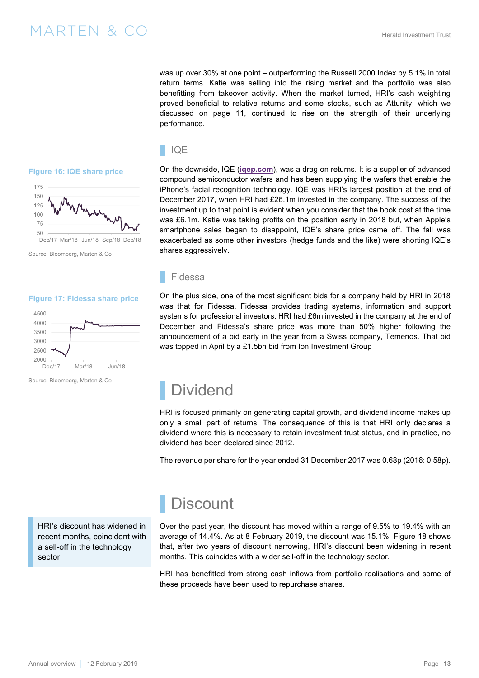was up over 30% at one point – outperforming the Russell 2000 Index by 5.1% in total return terms. Katie was selling into the rising market and the portfolio was also benefitting from takeover activity. When the market turned, HRI's cash weighting proved beneficial to relative returns and some stocks, such as Attunity, which we discussed on [page 11](#page-10-0), continued to rise on the strength of their underlying performance.

#### <span id="page-12-0"></span>**Figure 16: IQE share price**



Source: Bloomberg, Marten & Co

#### **Figure 17: Fidessa share price**



Source: Bloomberg, Marten & Co

IQE

On the downside, IQE (**[iqep.com](https://iqep.com/)**), was a drag on returns. It is a supplier of advanced compound semiconductor wafers and has been supplying the wafers that enable the iPhone's facial recognition technology. IQE was HRI's largest position at the end of December 2017, when HRI had £26.1m invested in the company. The success of the investment up to that point is evident when you consider that the book cost at the time was £6.1m. Katie was taking profits on the position early in 2018 but, when Apple's smartphone sales began to disappoint, IQE's share price came off. The fall was exacerbated as some other investors (hedge funds and the like) were shorting IQE's shares aggressively.

#### Fidessa

On the plus side, one of the most significant bids for a company held by HRI in 2018 was that for Fidessa. Fidessa provides trading systems, information and support systems for professional investors. HRI had £6m invested in the company at the end of December and Fidessa's share price was more than 50% higher following the announcement of a bid early in the year from a Swiss company, Temenos. That bid was topped in April by a £1.5bn bid from Ion Investment Group

### **Dividend**

HRI is focused primarily on generating capital growth, and dividend income makes up only a small part of returns. The consequence of this is that HRI only declares a dividend where this is necessary to retain investment trust status, and in practice, no dividend has been declared since 2012.

The revenue per share for the year ended 31 December 2017 was 0.68p (2016: 0.58p).

HRI's discount has widened in recent months, coincident with a sell-off in the technology sector

# **Discount**

Over the past year, the discount has moved within a range of 9.5% to 19.4% with an average of 14.4%. As at 8 February 2019, the discount was 15.1%. [Figure 18](#page-13-0) shows that, after two years of discount narrowing, HRI's discount been widening in recent months. This coincides with a wider sell-off in the technology sector.

HRI has benefitted from strong cash inflows from portfolio realisations and some of these proceeds have been used to repurchase shares.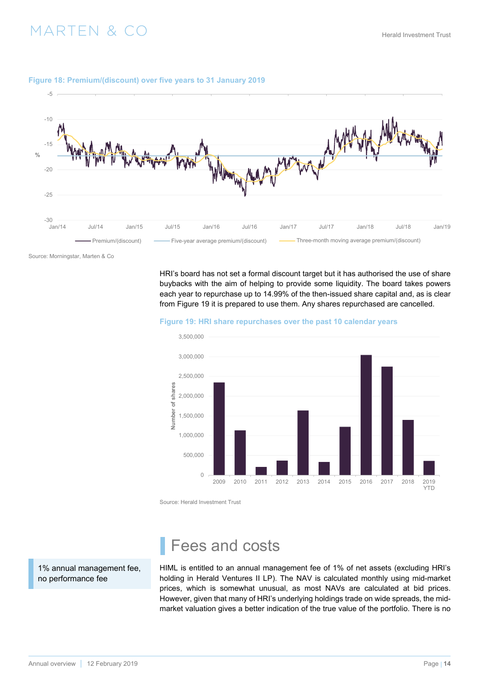

#### <span id="page-13-0"></span>**Figure 18: Premium/(discount) over five years to 31 January 2019**

Source: Morningstar, Marten & Co

HRI's board has not set a formal discount target but it has authorised the use of share buybacks with the aim of helping to provide some liquidity. The board takes powers each year to repurchase up to 14.99% of the then-issued share capital and, as is clear from Figure 19 it is prepared to use them. Any shares repurchased are cancelled.

#### **Figure 19: HRI share repurchases over the past 10 calendar years**



Source: Herald Investment Trust

1% annual management fee, no performance fee

### Fees and costs

HIML is entitled to an annual management fee of 1% of net assets (excluding HRI's holding in Herald Ventures II LP). The NAV is calculated monthly using mid-market prices, which is somewhat unusual, as most NAVs are calculated at bid prices. However, given that many of HRI's underlying holdings trade on wide spreads, the midmarket valuation gives a better indication of the true value of the portfolio. There is no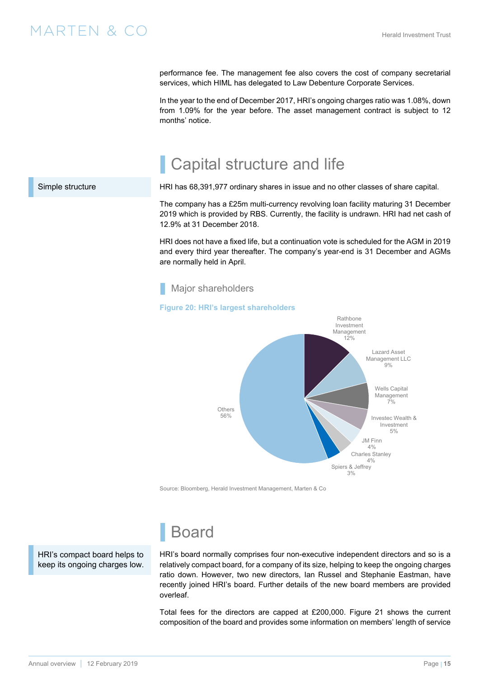### <span id="page-14-0"></span> $\text{MARTEN} \& \text{CO}$  and the contract of the contract  $\text{MARTEN} \& \text{CO}$

performance fee. The management fee also covers the cost of company secretarial services, which HIML has delegated to Law Debenture Corporate Services.

In the year to the end of December 2017, HRI's ongoing charges ratio was 1.08%, down from 1.09% for the year before. The asset management contract is subject to 12 months' notice.

# Capital structure and life

HRI has 68,391,977 ordinary shares in issue and no other classes of share capital.

The company has a £25m multi-currency revolving loan facility maturing 31 December 2019 which is provided by RBS. Currently, the facility is undrawn. HRI had net cash of 12.9% at 31 December 2018.

HRI does not have a fixed life, but a continuation vote is scheduled for the AGM in 2019 and every third year thereafter. The company's year-end is 31 December and AGMs are normally held in April.

Major shareholders

#### **Figure 20: HRI's largest shareholders**



Source: Bloomberg, Herald Investment Management, Marten & Co

HRI's compact board helps to keep its ongoing charges low.

# **Board**

HRI's board normally comprises four non-executive independent directors and so is a relatively compact board, for a company of its size, helping to keep the ongoing charges ratio down. However, two new directors, Ian Russel and Stephanie Eastman, have recently joined HRI's board. Further details of the new board members are provided overleaf.

Total fees for the directors are capped at £200,000. [Figure 21](#page-15-0) shows the current composition of the board and provides some information on members' length of service

#### Simple structure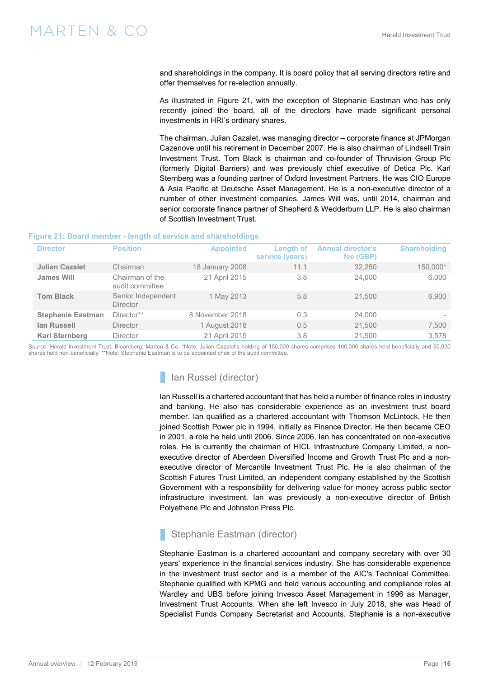<span id="page-15-0"></span>and shareholdings in the company. It is board policy that all serving directors retire and offer themselves for re-election annually.

As illustrated in Figure 21, with the exception of Stephanie Eastman who has only recently joined the board, all of the directors have made significant personal investments in HRI's ordinary shares.

The chairman, Julian Cazalet, was managing director – corporate finance at JPMorgan Cazenove until his retirement in December 2007. He is also chairman of Lindsell Train Investment Trust. Tom Black is chairman and co-founder of Thruvision Group Plc (formerly Digital Barriers) and was previously chief executive of Detica Plc. Karl Sternberg was a founding partner of Oxford Investment Partners. He was CIO Europe & Asia Pacific at Deutsche Asset Management. He is a non-executive director of a number of other investment companies. James Will was, until 2014, chairman and senior corporate finance partner of Shepherd & Wedderburn LLP. He is also chairman of Scottish Investment Trust.

#### **Figure 21: Board member - length of service and shareholdings**

| <b>Director</b>          | <b>Position</b>                       | <b>Appointed</b> | Length of<br>service (years) | <b>Annual director's</b><br>fee (GBP) | <b>Shareholding</b> |
|--------------------------|---------------------------------------|------------------|------------------------------|---------------------------------------|---------------------|
| <b>Julian Cazalet</b>    | Chairman                              | 18 January 2008  | 11.1                         | 32,250                                | 150,000*            |
| <b>James Will</b>        | Chairman of the<br>audit committee    | 21 April 2015    | 3.8                          | 24,000                                | 6,000               |
| <b>Tom Black</b>         | Senior Independent<br><b>Director</b> | 1 May 2013       | 5.8                          | 21.500                                | 6,900               |
| <b>Stephanie Eastman</b> | Director**                            | 8 November 2018  | 0.3                          | 24,000                                |                     |
| <b>lan Russell</b>       | <b>Director</b>                       | 1 August 2018    | 0.5                          | 21,500                                | 7,500               |
| <b>Karl Sternberg</b>    | <b>Director</b>                       | 21 April 2015    | 3.8                          | 21.500                                | 3.578               |

Source: Herald Investment Trust, Bloomberg, Marten & Co. \*Note: Julian Cazalet's holding of 150,000 shares comprises 100,000 shares held beneficially and 50,000 shares held non-beneficially. \*\*Note: Stephanie Eastman is to be appointed chair of the audit committee.

### Ian Russel (director)

Ian Russell is a chartered accountant that has held a number of finance roles in industry and banking. He also has considerable experience as an investment trust board member. Ian qualified as a chartered accountant with Thomson McLintock, He then joined Scottish Power plc in 1994, initially as Finance Director. He then became CEO in 2001, a role he held until 2006. Since 2006, Ian has concentrated on non-executive roles. He is currently the chairman of HICL Infrastructure Company Limited, a nonexecutive director of Aberdeen Diversified Income and Growth Trust Plc and a nonexecutive director of Mercantile Investment Trust Plc. He is also chairman of the Scottish Futures Trust Limited, an independent company established by the Scottish Government with a responsibility for delivering value for money across public sector infrastructure investment. Ian was previously a non-executive director of British Polyethene Plc and Johnston Press Plc.

### Stephanie Eastman (director)

Stephanie Eastman is a chartered accountant and company secretary with over 30 years' experience in the financial services industry. She has considerable experience in the investment trust sector and is a member of the AIC's Technical Committee. Stephanie qualified with KPMG and held various accounting and compliance roles at Wardley and UBS before joining Invesco Asset Management in 1996 as Manager, Investment Trust Accounts. When she left Invesco in July 2018, she was Head of Specialist Funds Company Secretariat and Accounts. Stephanie is a non-executive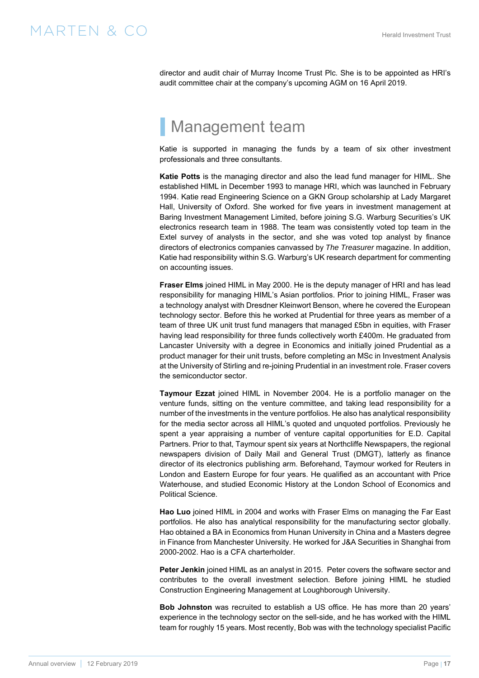<span id="page-16-0"></span>director and audit chair of Murray Income Trust Plc. She is to be appointed as HRI's audit committee chair at the company's upcoming AGM on 16 April 2019.

# Management team

Katie is supported in managing the funds by a team of six other investment professionals and three consultants.

**Katie Potts** is the managing director and also the lead fund manager for HIML. She established HIML in December 1993 to manage HRI, which was launched in February 1994. Katie read Engineering Science on a GKN Group scholarship at Lady Margaret Hall, University of Oxford. She worked for five years in investment management at Baring Investment Management Limited, before joining S.G. Warburg Securities's UK electronics research team in 1988. The team was consistently voted top team in the Extel survey of analysts in the sector, and she was voted top analyst by finance directors of electronics companies canvassed by *The Treasurer* magazine. In addition, Katie had responsibility within S.G. Warburg's UK research department for commenting on accounting issues.

**Fraser Elms** joined HIML in May 2000. He is the deputy manager of HRI and has lead responsibility for managing HIML's Asian portfolios. Prior to joining HIML, Fraser was a technology analyst with Dresdner Kleinwort Benson, where he covered the European technology sector. Before this he worked at Prudential for three years as member of a team of three UK unit trust fund managers that managed £5bn in equities, with Fraser having lead responsibility for three funds collectively worth £400m. He graduated from Lancaster University with a degree in Economics and initially joined Prudential as a product manager for their unit trusts, before completing an MSc in Investment Analysis at the University of Stirling and re-joining Prudential in an investment role. Fraser covers the semiconductor sector.

**Taymour Ezzat** joined HIML in November 2004. He is a portfolio manager on the venture funds, sitting on the venture committee, and taking lead responsibility for a number of the investments in the venture portfolios. He also has analytical responsibility for the media sector across all HIML's quoted and unquoted portfolios. Previously he spent a year appraising a number of venture capital opportunities for E.D. Capital Partners. Prior to that, Taymour spent six years at Northcliffe Newspapers, the regional newspapers division of Daily Mail and General Trust (DMGT), latterly as finance director of its electronics publishing arm. Beforehand, Taymour worked for Reuters in London and Eastern Europe for four years. He qualified as an accountant with Price Waterhouse, and studied Economic History at the London School of Economics and Political Science.

**Hao Luo** joined HIML in 2004 and works with Fraser Elms on managing the Far East portfolios. He also has analytical responsibility for the manufacturing sector globally. Hao obtained a BA in Economics from Hunan University in China and a Masters degree in Finance from Manchester University. He worked for J&A Securities in Shanghai from 2000-2002. Hao is a CFA charterholder.

**Peter Jenkin** joined HIML as an analyst in 2015. Peter covers the software sector and contributes to the overall investment selection. Before joining HIML he studied Construction Engineering Management at Loughborough University.

**Bob Johnston** was recruited to establish a US office. He has more than 20 years' experience in the technology sector on the sell-side, and he has worked with the HIML team for roughly 15 years. Most recently, Bob was with the technology specialist Pacific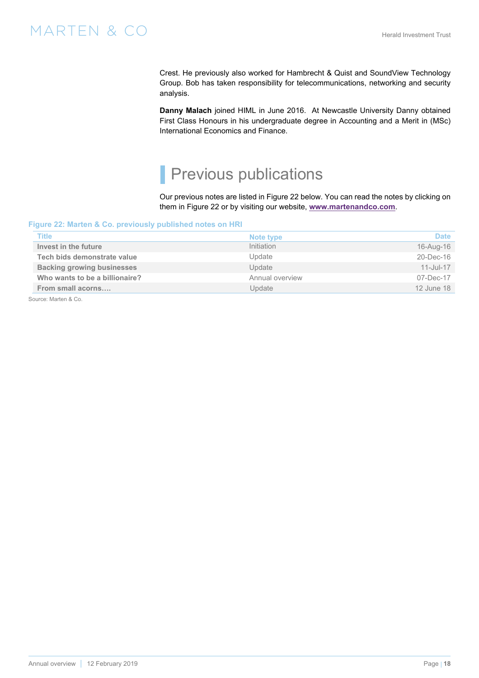<span id="page-17-0"></span>Crest. He previously also worked for Hambrecht & Quist and SoundView Technology Group. Bob has taken responsibility for telecommunications, networking and security analysis.

**Danny Malach** joined HIML in June 2016. At Newcastle University Danny obtained First Class Honours in his undergraduate degree in Accounting and a Merit in (MSc) International Economics and Finance.

# Previous publications

Our previous notes are listed in Figure 22 below. You can read the notes by clicking on them in Figure 22 or by visiting our website, **www.martenandco.com**.

### **Figure 22: Marten & Co. previously published notes on HRI**

| <b>Title</b>                      | Note type       | <b>Date</b> |
|-----------------------------------|-----------------|-------------|
| Invest in the future              | Initiation      | 16-Aug-16   |
| Tech bids demonstrate value       | Update          | 20-Dec-16   |
| <b>Backing growing businesses</b> | Update          | 11-Jul-17   |
| Who wants to be a billionaire?    | Annual overview | 07-Dec-17   |
| From small acorns                 | Update          | 12 June 18  |
| $\sim$ $\sim$ $\sim$ $\sim$       |                 |             |

Source: Marten & Co.